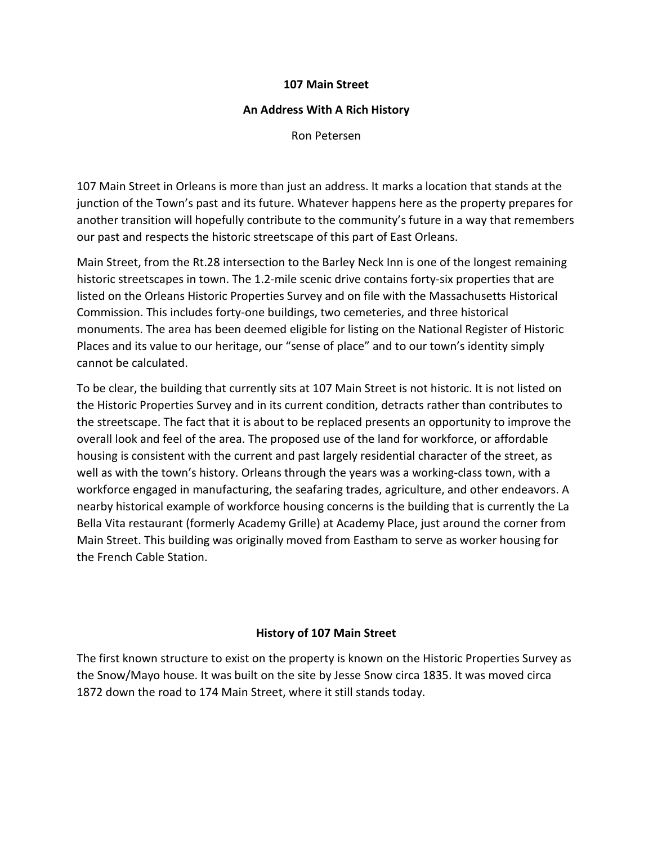### **107 Main Street**

#### **An Address With A Rich History**

Ron Petersen

107 Main Street in Orleans is more than just an address. It marks a location that stands at the junction of the Town's past and its future. Whatever happens here as the property prepares for another transition will hopefully contribute to the community's future in a way that remembers our past and respects the historic streetscape of this part of East Orleans.

Main Street, from the Rt.28 intersection to the Barley Neck Inn is one of the longest remaining historic streetscapes in town. The 1.2-mile scenic drive contains forty-six properties that are listed on the Orleans Historic Properties Survey and on file with the Massachusetts Historical Commission. This includes forty-one buildings, two cemeteries, and three historical monuments. The area has been deemed eligible for listing on the National Register of Historic Places and its value to our heritage, our "sense of place" and to our town's identity simply cannot be calculated.

To be clear, the building that currently sits at 107 Main Street is not historic. It is not listed on the Historic Properties Survey and in its current condition, detracts rather than contributes to the streetscape. The fact that it is about to be replaced presents an opportunity to improve the overall look and feel of the area. The proposed use of the land for workforce, or affordable housing is consistent with the current and past largely residential character of the street, as well as with the town's history. Orleans through the years was a working-class town, with a workforce engaged in manufacturing, the seafaring trades, agriculture, and other endeavors. A nearby historical example of workforce housing concerns is the building that is currently the La Bella Vita restaurant (formerly Academy Grille) at Academy Place, just around the corner from Main Street. This building was originally moved from Eastham to serve as worker housing for the French Cable Station.

## **History of 107 Main Street**

The first known structure to exist on the property is known on the Historic Properties Survey as the Snow/Mayo house. It was built on the site by Jesse Snow circa 1835. It was moved circa 1872 down the road to 174 Main Street, where it still stands today.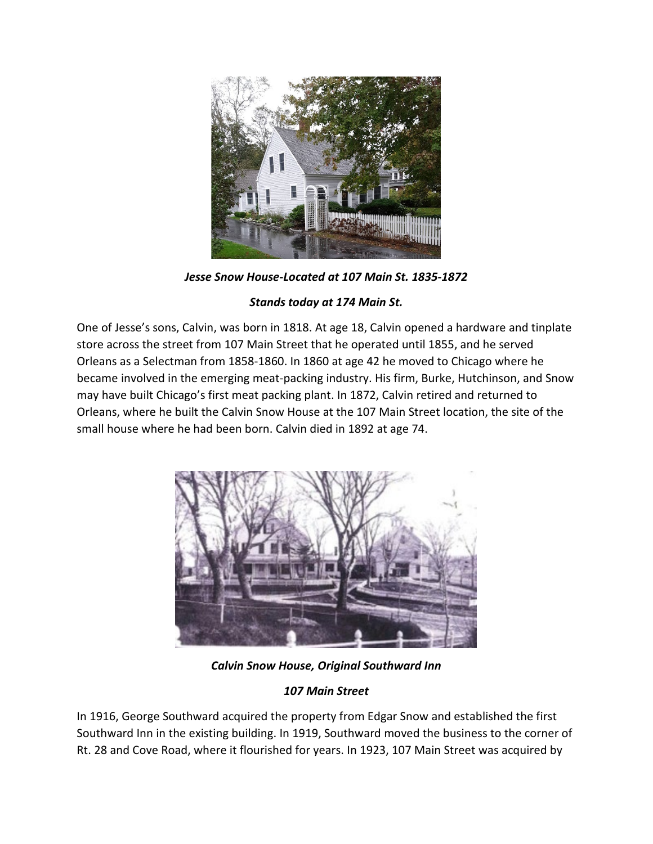

*Jesse Snow House-Located at 107 Main St. 1835-1872*

## *Stands today at 174 Main St.*

One of Jesse's sons, Calvin, was born in 1818. At age 18, Calvin opened a hardware and tinplate store across the street from 107 Main Street that he operated until 1855, and he served Orleans as a Selectman from 1858-1860. In 1860 at age 42 he moved to Chicago where he became involved in the emerging meat-packing industry. His firm, Burke, Hutchinson, and Snow may have built Chicago's first meat packing plant. In 1872, Calvin retired and returned to Orleans, where he built the Calvin Snow House at the 107 Main Street location, the site of the small house where he had been born. Calvin died in 1892 at age 74.



*Calvin Snow House, Original Southward Inn*

# *107 Main Street*

In 1916, George Southward acquired the property from Edgar Snow and established the first Southward Inn in the existing building. In 1919, Southward moved the business to the corner of Rt. 28 and Cove Road, where it flourished for years. In 1923, 107 Main Street was acquired by